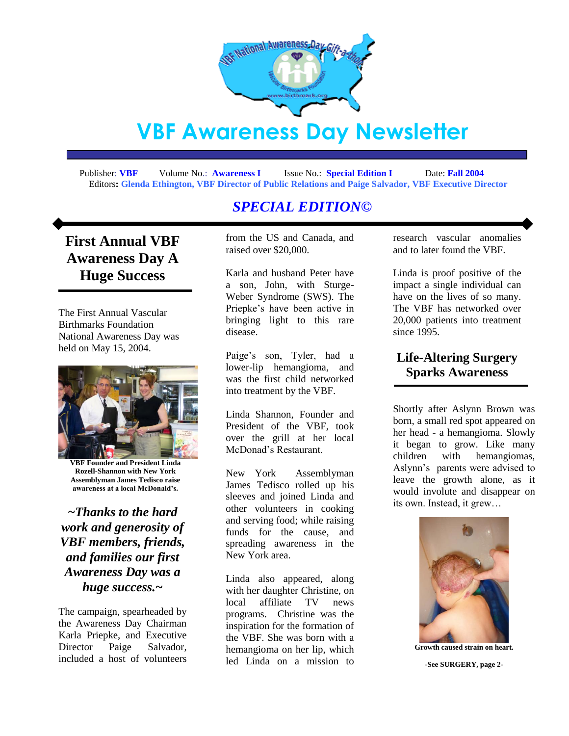

# **VBF Awareness Day Newsletter**

 Publisher: **VBF** Volume No.: **Awareness I** Issue No.: **Special Edition I** Date: **Fall 2004**  Editors**: Glenda Ethington, VBF Director of Public Relations and Paige Salvador, VBF Executive Director**

## *SPECIAL EDITION©*

## **First Annual VBF Awareness Day A Huge Success**

The First Annual Vascular Birthmarks Foundation National Awareness Day was held on May 15, 2004.



**VBF Founder and President Linda Rozell-Shannon with New York Assemblyman James Tedisco raise awareness at a local McDonald's.**

*~Thanks to the hard work and generosity of VBF members, friends, and families our first Awareness Day was a huge success.~*

The campaign, spearheaded by the Awareness Day Chairman Karla Priepke, and Executive Director Paige Salvador, included a host of volunteers

from the US and Canada, and raised over \$20,000.

Karla and husband Peter have a son, John, with Sturge-Weber Syndrome (SWS). The Priepke"s have been active in bringing light to this rare disease.

Paige"s son, Tyler, had a lower-lip hemangioma, and was the first child networked into treatment by the VBF.

Linda Shannon, Founder and President of the VBF, took over the grill at her local McDonad"s Restaurant.

New York Assemblyman James Tedisco rolled up his sleeves and joined Linda and other volunteers in cooking and serving food; while raising funds for the cause, and spreading awareness in the New York area.

Linda also appeared, along with her daughter Christine, on local affiliate TV news programs. Christine was the inspiration for the formation of the VBF. She was born with a hemangioma on her lip, which led Linda on a mission to

research vascular anomalies and to later found the VBF.

Linda is proof positive of the impact a single individual can have on the lives of so many. The VBF has networked over 20,000 patients into treatment since 1995.

## **Life-Altering Surgery Sparks Awareness**

Shortly after Aslynn Brown was born, a small red spot appeared on her head - a hemangioma. Slowly it began to grow. Like many children with hemangiomas, Aslynn"s parents were advised to leave the growth alone, as it would involute and disappear on its own. Instead, it grew…



**Growth caused strain on heart.**

**-See SURGERY, page 2-**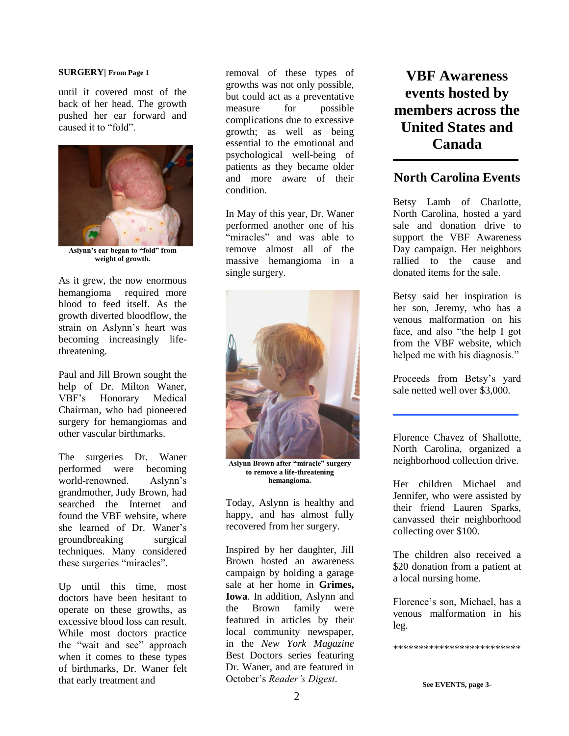#### **SURGERY| From Page 1**

until it covered most of the back of her head. The growth pushed her ear forward and caused it to "fold".



**Aslynn's ear began to "fold" from weight of growth.**

As it grew, the now enormous hemangioma required more blood to feed itself. As the growth diverted bloodflow, the strain on Aslynn"s heart was becoming increasingly lifethreatening.

Paul and Jill Brown sought the help of Dr. Milton Waner, VBF"s Honorary Medical Chairman, who had pioneered surgery for hemangiomas and other vascular birthmarks.

The surgeries Dr. Waner performed were becoming world-renowned. Aslynn"s grandmother, Judy Brown, had searched the Internet and found the VBF website, where she learned of Dr. Waner's groundbreaking surgical techniques. Many considered these surgeries "miracles".

Up until this time, most doctors have been hesitant to operate on these growths, as excessive blood loss can result. While most doctors practice the "wait and see" approach when it comes to these types of birthmarks, Dr. Waner felt that early treatment and

removal of these types of growths was not only possible, but could act as a preventative measure for possible complications due to excessive growth; as well as being essential to the emotional and psychological well-being of patients as they became older and more aware of their condition.

In May of this year, Dr. Waner performed another one of his "miracles" and was able to remove almost all of the massive hemangioma in a single surgery.



**Aslynn Brown after "miracle" surgery to remove a life-threatening hemangioma.**

Today, Aslynn is healthy and happy, and has almost fully recovered from her surgery.

Inspired by her daughter, Jill Brown hosted an awareness campaign by holding a garage sale at her home in **Grimes, Iowa**. In addition, Aslynn and the Brown family were featured in articles by their local community newspaper, in the *New York Magazine*  Best Doctors series featuring Dr. Waner, and are featured in October"s *Reader's Digest*.

## **VBF Awareness events hosted by members across the United States and Canada**

## **North Carolina Events**

Betsy Lamb of Charlotte, North Carolina, hosted a yard sale and donation drive to support the VBF Awareness Day campaign. Her neighbors rallied to the cause and donated items for the sale.

Betsy said her inspiration is her son, Jeremy, who has a venous malformation on his face, and also "the help I got from the VBF website, which helped me with his diagnosis."

Proceeds from Betsy's yard sale netted well over \$3,000.

Florence Chavez of Shallotte, North Carolina, organized a neighborhood collection drive.

Her children Michael and Jennifer, who were assisted by their friend Lauren Sparks, canvassed their neighborhood collecting over \$100.

The children also received a \$20 donation from a patient at a local nursing home.

Florence"s son, Michael, has a venous malformation in his leg.

\*\*\*\*\*\*\*\*\*\*\*\*\*\*\*\*\*\*\*\*\*\*\*\*\*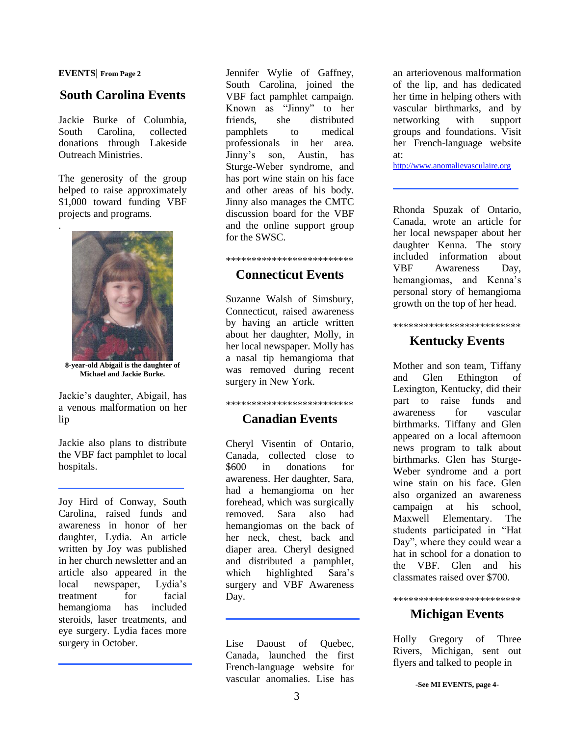#### **EVENTS| From Page 2**

.

## **South Carolina Events**

Jackie Burke of Columbia, South Carolina, collected donations through Lakeside Outreach Ministries.

The generosity of the group helped to raise approximately \$1,000 toward funding VBF projects and programs.



**8-year-old Abigail is the daughter of Michael and Jackie Burke.**

Jackie"s daughter, Abigail, has a venous malformation on her lip

Jackie also plans to distribute the VBF fact pamphlet to local hospitals.

Joy Hird of Conway, South Carolina, raised funds and awareness in honor of her daughter, Lydia. An article written by Joy was published in her church newsletter and an article also appeared in the local newspaper, Lydia"s treatment for facial hemangioma has included steroids, laser treatments, and eye surgery. Lydia faces more surgery in October.

Jennifer Wylie of Gaffney, South Carolina, joined the VBF fact pamphlet campaign. Known as "Jinny" to her friends, she distributed pamphlets to medical professionals in her area. Jinny"s son, Austin, has Sturge-Weber syndrome, and has port wine stain on his face and other areas of his body. Jinny also manages the CMTC discussion board for the VBF and the online support group for the SWSC.

#### \*\*\*\*\*\*\*\*\*\*\*\*\*\*\*\*\*\*\*\*\*\*\*\*\*

#### **Connecticut Events**

Suzanne Walsh of Simsbury, Connecticut, raised awareness by having an article written about her daughter, Molly, in her local newspaper. Molly has a nasal tip hemangioma that was removed during recent surgery in New York.

## \*\*\*\*\*\*\*\*\*\*\*\*\*\*\*\*\*\*\*\*\*\*\*\*\* **Canadian Events**

Cheryl Visentin of Ontario, Canada, collected close to \$600 in donations for awareness. Her daughter, Sara, had a hemangioma on her forehead, which was surgically removed. Sara also had hemangiomas on the back of her neck, chest, back and diaper area. Cheryl designed and distributed a pamphlet, which highlighted Sara's surgery and VBF Awareness Day.

Lise Daoust of Quebec, Canada, launched the first French-language website for vascular anomalies. Lise has

an arteriovenous malformation of the lip, and has dedicated her time in helping others with vascular birthmarks, and by networking with support groups and foundations. Visit her French-language website at:

[http://www.anomalievasculaire.org](http://www.anomalievasculaire.org/)

Rhonda Spuzak of Ontario, Canada, wrote an article for her local newspaper about her daughter Kenna. The story included information about VBF Awareness Day, hemangiomas, and Kenna's personal story of hemangioma growth on the top of her head.

## \*\*\*\*\*\*\*\*\*\*\*\*\*\*\*\*\*\*\*\*\*\*\*\*\*

## **Kentucky Events**

Mother and son team, Tiffany and Glen Ethington of Lexington, Kentucky, did their part to raise funds and awareness for vascular birthmarks. Tiffany and Glen appeared on a local afternoon news program to talk about birthmarks. Glen has Sturge-Weber syndrome and a port wine stain on his face. Glen also organized an awareness campaign at his school, Maxwell Elementary. The students participated in "Hat Day", where they could wear a hat in school for a donation to the VBF. Glen and his classmates raised over \$700.

## \*\*\*\*\*\*\*\*\*\*\*\*\*\*\*\*\*\*\*\*\*\*\*\*\* **Michigan Events**

Holly Gregory of Three Rivers, Michigan, sent out flyers and talked to people in

**-See MI EVENTS, page 4-**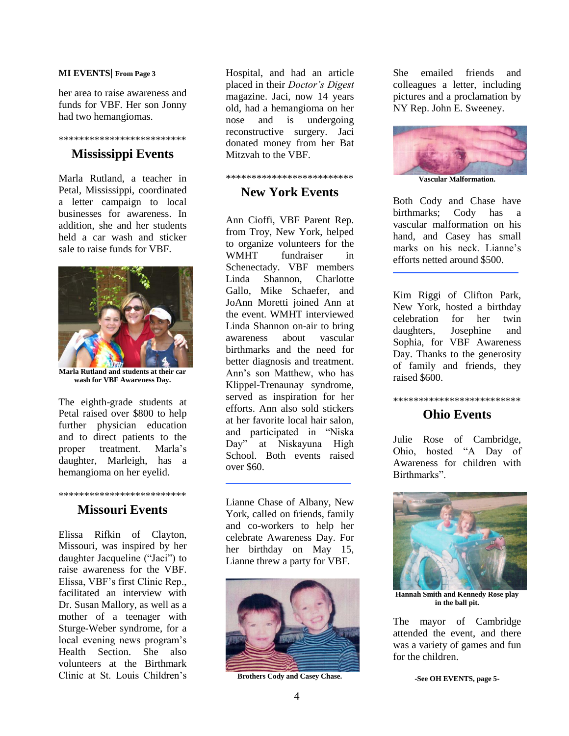#### **MI EVENTS| From Page 3**

her area to raise awareness and funds for VBF. Her son Jonny had two hemangiomas.

## \*\*\*\*\*\*\*\*\*\*\*\*\*\*\*\*\*\*\*\*\*\*\*\*\*

## **Mississippi Events**

Marla Rutland, a teacher in Petal, Mississippi, coordinated a letter campaign to local businesses for awareness. In addition, she and her students held a car wash and sticker sale to raise funds for VBF.



**Marla Rutland and students at their car wash for VBF Awareness Day.**

The eighth-grade students at Petal raised over \$800 to help further physician education and to direct patients to the proper treatment. Marla"s daughter, Marleigh, has a hemangioma on her eyelid.

## \*\*\*\*\*\*\*\*\*\*\*\*\*\*\*\*\*\*\*\*\*\*\*\*\* **Missouri Events**

Elissa Rifkin of Clayton, Missouri, was inspired by her daughter Jacqueline ("Jaci") to raise awareness for the VBF. Elissa, VBF"s first Clinic Rep., facilitated an interview with Dr. Susan Mallory, as well as a mother of a teenager with Sturge-Weber syndrome, for a local evening news program's Health Section. She also volunteers at the Birthmark Clinic at St. Louis Children"s

Hospital, and had an article placed in their *Doctor's Digest*  magazine. Jaci, now 14 years old, had a hemangioma on her nose and is undergoing reconstructive surgery. Jaci donated money from her Bat Mitzvah to the VBF.

#### \*\*\*\*\*\*\*\*\*\*\*\*\*\*\*\*\*\*\*\*\*\*\*\*\*

## **New York Events**

Ann Cioffi, VBF Parent Rep. from Troy, New York, helped to organize volunteers for the WMHT fundraiser in Schenectady. VBF members Linda Shannon, Charlotte Gallo, Mike Schaefer, and JoAnn Moretti joined Ann at the event. WMHT interviewed Linda Shannon on-air to bring awareness about vascular birthmarks and the need for better diagnosis and treatment. Ann"s son Matthew, who has Klippel-Trenaunay syndrome, served as inspiration for her efforts. Ann also sold stickers at her favorite local hair salon, and participated in "Niska Day" at Niskayuna High School. Both events raised over \$60.

Lianne Chase of Albany, New York, called on friends, family and co-workers to help her celebrate Awareness Day. For her birthday on May 15, Lianne threw a party for VBF.



**Brothers Cody and Casey Chase.**

She emailed friends and colleagues a letter, including pictures and a proclamation by NY Rep. John E. Sweeney.



**Vascular Malformation.**

Both Cody and Chase have birthmarks; Cody has a vascular malformation on his hand, and Casey has small marks on his neck Lianne's efforts netted around \$500.

Kim Riggi of Clifton Park, New York, hosted a birthday celebration for her twin daughters, Josephine and Sophia, for VBF Awareness Day. Thanks to the generosity of family and friends, they raised \$600.

#### \*\*\*\*\*\*\*\*\*\*\*\*\*\*\*\*\*\*\*\*\*\*\*\*\*

## **Ohio Events**

Julie Rose of Cambridge, Ohio, hosted "A Day of Awareness for children with Birthmarks".



**Hannah Smith and Kennedy Rose play in the ball pit.**

The mayor of Cambridge attended the event, and there was a variety of games and fun for the children.

**-See OH EVENTS, page 5-**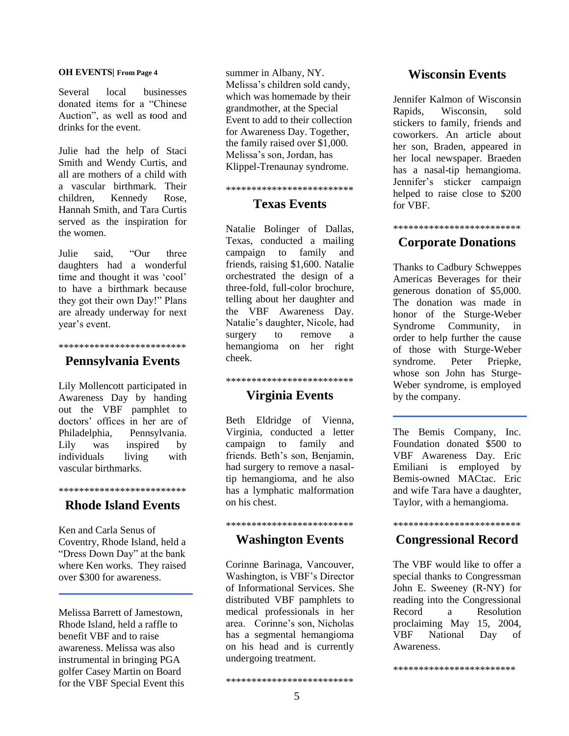#### **OH EVENTS| From Page 4**

Several local businesses donated items for a "Chinese Auction", as well as **f**ood and drinks for the event.

Julie had the help of Staci Smith and Wendy Curtis, and all are mothers of a child with a vascular birthmark. Their children, Kennedy Rose, Hannah Smith, and Tara Curtis served as the inspiration for the women.

Julie said, "Our three daughters had a wonderful time and thought it was 'cool' to have a birthmark because they got their own Day!" Plans are already underway for next year"s event.

### \*\*\*\*\*\*\*\*\*\*\*\*\*\*\*\*\*\*\*\*\*\*\*\*\*

#### **Pennsylvania Events**

Lily Mollencott participated in Awareness Day by handing out the VBF pamphlet to doctors" offices in her are of Philadelphia, Pennsylvania. Lily was inspired by individuals living with vascular birthmarks.

## \*\*\*\*\*\*\*\*\*\*\*\*\*\*\*\*\*\*\*\*\*\*\*\*\* **Rhode Island Events**

Ken and Carla Senus of Coventry, Rhode Island, held a "Dress Down Day" at the bank where Ken works. They raised over \$300 for awareness.

Melissa Barrett of Jamestown, Rhode Island, held a raffle to benefit VBF and to raise awareness. Melissa was also instrumental in bringing PGA golfer Casey Martin on Board for the VBF Special Event this summer in Albany, NY. Melissa's children sold candy, which was homemade by their grandmother, at the Special Event to add to their collection for Awareness Day. Together, the family raised over \$1,000. Melissa"s son, Jordan, has Klippel-Trenaunay syndrome.

#### \*\*\*\*\*\*\*\*\*\*\*\*\*\*\*\*\*\*\*\*\*\*\*\*\*

## **Texas Events**

Natalie Bolinger of Dallas, Texas, conducted a mailing campaign to family and friends, raising \$1,600. Natalie orchestrated the design of a three-fold, full-color brochure, telling about her daughter and the VBF Awareness Day. Natalie"s daughter, Nicole, had surgery to remove a hemangioma on her right cheek.

## \*\*\*\*\*\*\*\*\*\*\*\*\*\*\*\*\*\*\*\*\*\*\*\*\*

### **Virginia Events**

Beth Eldridge of Vienna, Virginia, conducted a letter campaign to family and friends. Beth's son, Benjamin, had surgery to remove a nasaltip hemangioma, and he also has a lymphatic malformation on his chest.

## \*\*\*\*\*\*\*\*\*\*\*\*\*\*\*\*\*\*\*\*\*\*\*\*\* **Washington Events**

Corinne Barinaga, Vancouver, Washington, is VBF"s Director of Informational Services. She distributed VBF pamphlets to medical professionals in her area. Corinne"s son, Nicholas has a segmental hemangioma on his head and is currently undergoing treatment.

### **Wisconsin Events**

Jennifer Kalmon of Wisconsin Rapids, Wisconsin, sold stickers to family, friends and coworkers. An article about her son, Braden, appeared in her local newspaper. Braeden has a nasal-tip hemangioma. Jennifer"s sticker campaign helped to raise close to \$200 for VBF.

## \*\*\*\*\*\*\*\*\*\*\*\*\*\*\*\*\*\*\*\*\*\*\*\*\*

## **Corporate Donations**

Thanks to Cadbury Schweppes Americas Beverages for their generous donation of \$5,000. The donation was made in honor of the Sturge-Weber Syndrome Community, in order to help further the cause of those with Sturge-Weber syndrome. Peter Priepke, whose son John has Sturge-Weber syndrome, is employed by the company.

The Bemis Company, Inc. Foundation donated \$500 to VBF Awareness Day. Eric Emiliani is employed by Bemis-owned MACtac. Eric and wife Tara have a daughter, Taylor, with a hemangioma.

## \*\*\*\*\*\*\*\*\*\*\*\*\*\*\*\*\*\*\*\*\*\*\*\*\* **Congressional Record**

The VBF would like to offer a special thanks to Congressman John E. Sweeney (R-NY) for reading into the Congressional Record a Resolution proclaiming May 15, 2004, VBF National Day of Awareness.

\*\*\*\*\*\*\*\*\*\*\*\*\*\*\*\*\*\*\*\*\*\*\*\*

\*\*\*\*\*\*\*\*\*\*\*\*\*\*\*\*\*\*\*\*\*\*\*\*\*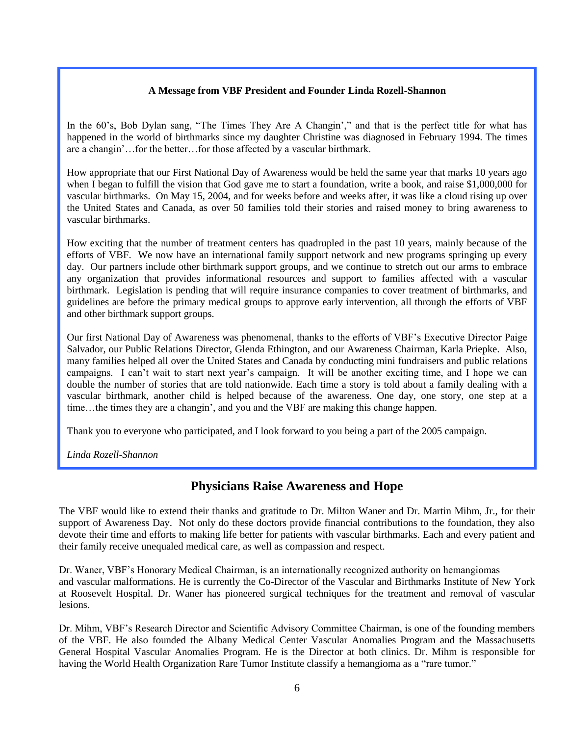#### **A Message from VBF President and Founder Linda Rozell-Shannon**

In the 60's, Bob Dylan sang, "The Times They Are A Changin'," and that is the perfect title for what has happened in the world of birthmarks since my daughter Christine was diagnosed in February 1994. The times are a changin"…for the better…for those affected by a vascular birthmark.

How appropriate that our First National Day of Awareness would be held the same year that marks 10 years ago when I began to fulfill the vision that God gave me to start a foundation, write a book, and raise \$1,000,000 for vascular birthmarks. On May 15, 2004, and for weeks before and weeks after, it was like a cloud rising up over the United States and Canada, as over 50 families told their stories and raised money to bring awareness to vascular birthmarks.

How exciting that the number of treatment centers has quadrupled in the past 10 years, mainly because of the efforts of VBF. We now have an international family support network and new programs springing up every day. Our partners include other birthmark support groups, and we continue to stretch out our arms to embrace any organization that provides informational resources and support to families affected with a vascular birthmark. Legislation is pending that will require insurance companies to cover treatment of birthmarks, and guidelines are before the primary medical groups to approve early intervention, all through the efforts of VBF and other birthmark support groups.

Our first National Day of Awareness was phenomenal, thanks to the efforts of VBF"s Executive Director Paige Salvador, our Public Relations Director, Glenda Ethington, and our Awareness Chairman, Karla Priepke. Also, many families helped all over the United States and Canada by conducting mini fundraisers and public relations campaigns. I can't wait to start next year's campaign. It will be another exciting time, and I hope we can double the number of stories that are told nationwide. Each time a story is told about a family dealing with a vascular birthmark, another child is helped because of the awareness. One day, one story, one step at a time…the times they are a changin", and you and the VBF are making this change happen.

Thank you to everyone who participated, and I look forward to you being a part of the 2005 campaign.

*Linda Rozell-Shannon*

## **Physicians Raise Awareness and Hope**

The VBF would like to extend their thanks and gratitude to Dr. Milton Waner and Dr. Martin Mihm, Jr., for their support of Awareness Day. Not only do these doctors provide financial contributions to the foundation, they also devote their time and efforts to making life better for patients with vascular birthmarks. Each and every patient and their family receive unequaled medical care, as well as compassion and respect.

Dr. Waner, VBF"s Honorary Medical Chairman, is an internationally recognized authority on hemangiomas and vascular malformations. He is currently the Co-Director of the Vascular and Birthmarks Institute of New York at Roosevelt Hospital. Dr. Waner has pioneered surgical techniques for the treatment and removal of vascular lesions.

Dr. Mihm, VBF"s Research Director and Scientific Advisory Committee Chairman, is one of the founding members of the VBF. He also founded the Albany Medical Center Vascular Anomalies Program and the Massachusetts General Hospital Vascular Anomalies Program. He is the Director at both clinics. Dr. Mihm is responsible for having the World Health Organization Rare Tumor Institute classify a hemangioma as a "rare tumor."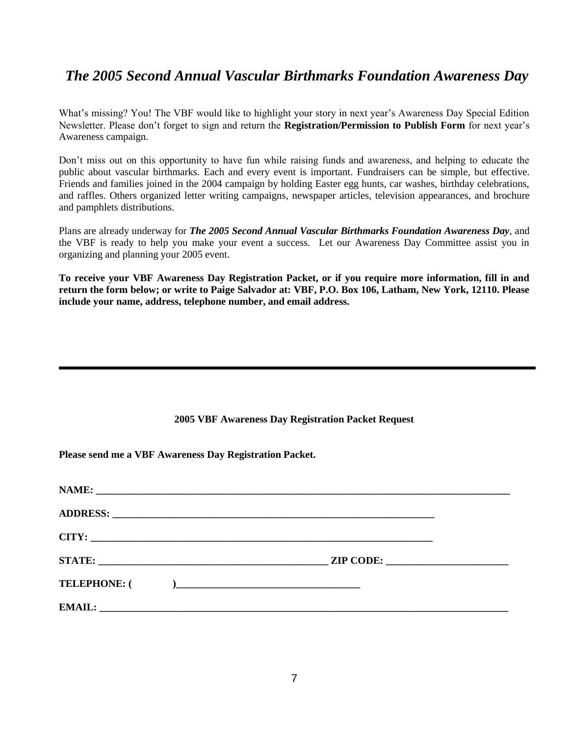## *The 2005 Second Annual Vascular Birthmarks Foundation Awareness Day*

What's missing? You! The VBF would like to highlight your story in next year's Awareness Day Special Edition Newsletter. Please don"t forget to sign and return the **Registration/Permission to Publish Form** for next year"s Awareness campaign.

Don"t miss out on this opportunity to have fun while raising funds and awareness, and helping to educate the public about vascular birthmarks. Each and every event is important. Fundraisers can be simple, but effective. Friends and families joined in the 2004 campaign by holding Easter egg hunts, car washes, birthday celebrations, and raffles. Others organized letter writing campaigns, newspaper articles, television appearances, and brochure and pamphlets distributions.

Plans are already underway for *The 2005 Second Annual Vascular Birthmarks Foundation Awareness Day,* and the VBF is ready to help you make your event a success. Let our Awareness Day Committee assist you in organizing and planning your 2005 event.

**To receive your VBF Awareness Day Registration Packet, or if you require more information, fill in and return the form below; or write to Paige Salvador at: VBF, P.O. Box 106, Latham, New York, 12110. Please include your name, address, telephone number, and email address.**

#### **2005 VBF Awareness Day Registration Packet Request**

**Please send me a VBF Awareness Day Registration Packet.**

| CITY: |           |  |
|-------|-----------|--|
|       | ZIP CODE: |  |
|       |           |  |
|       |           |  |